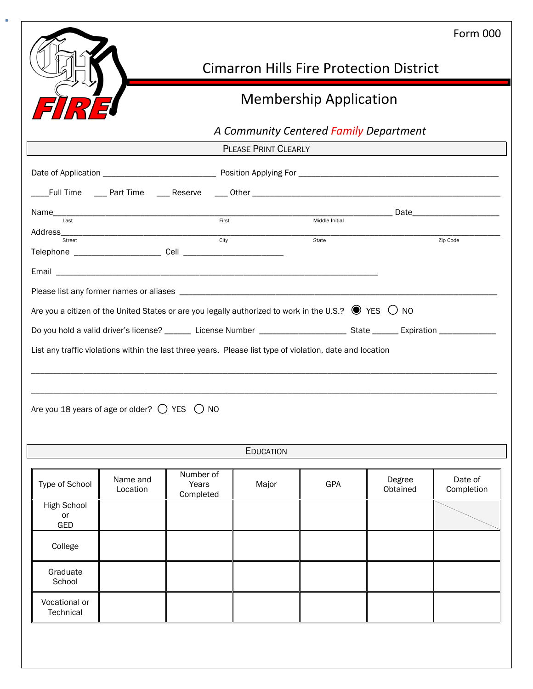|                                                                                                                                                                                                                                                                                                             |                      |                                 |                             |                                        |                                                | <b>Form 000</b>       |
|-------------------------------------------------------------------------------------------------------------------------------------------------------------------------------------------------------------------------------------------------------------------------------------------------------------|----------------------|---------------------------------|-----------------------------|----------------------------------------|------------------------------------------------|-----------------------|
|                                                                                                                                                                                                                                                                                                             |                      |                                 |                             |                                        | <b>Cimarron Hills Fire Protection District</b> |                       |
| <b>Membership Application</b>                                                                                                                                                                                                                                                                               |                      |                                 |                             |                                        |                                                |                       |
|                                                                                                                                                                                                                                                                                                             |                      |                                 |                             | A Community Centered Family Department |                                                |                       |
|                                                                                                                                                                                                                                                                                                             |                      |                                 | <b>PLEASE PRINT CLEARLY</b> |                                        |                                                |                       |
|                                                                                                                                                                                                                                                                                                             |                      |                                 |                             |                                        |                                                |                       |
|                                                                                                                                                                                                                                                                                                             |                      |                                 |                             |                                        |                                                |                       |
|                                                                                                                                                                                                                                                                                                             |                      |                                 |                             |                                        |                                                |                       |
| Street                                                                                                                                                                                                                                                                                                      |                      |                                 |                             | State                                  |                                                | Zip Code              |
|                                                                                                                                                                                                                                                                                                             |                      |                                 |                             |                                        |                                                |                       |
|                                                                                                                                                                                                                                                                                                             |                      |                                 |                             |                                        |                                                |                       |
|                                                                                                                                                                                                                                                                                                             |                      |                                 |                             |                                        |                                                |                       |
| Do you hold a valid driver's license? _______ License Number _________________________ State ______ Expiration _____________<br>List any traffic violations within the last three years. Please list type of violation, date and location<br>Are you 18 years of age or older? $\bigcirc$ YES $\bigcirc$ NO |                      |                                 | <b>EDUCATION</b>            |                                        |                                                |                       |
|                                                                                                                                                                                                                                                                                                             |                      |                                 |                             |                                        |                                                |                       |
| Type of School                                                                                                                                                                                                                                                                                              | Name and<br>Location | Number of<br>Years<br>Completed | Major                       | GPA                                    | Degree<br>Obtained                             | Date of<br>Completion |
| <b>High School</b><br>or<br>GED                                                                                                                                                                                                                                                                             |                      |                                 |                             |                                        |                                                |                       |
| College                                                                                                                                                                                                                                                                                                     |                      |                                 |                             |                                        |                                                |                       |
| Graduate<br>School                                                                                                                                                                                                                                                                                          |                      |                                 |                             |                                        |                                                |                       |

Vocational or **Technical** 

Ì.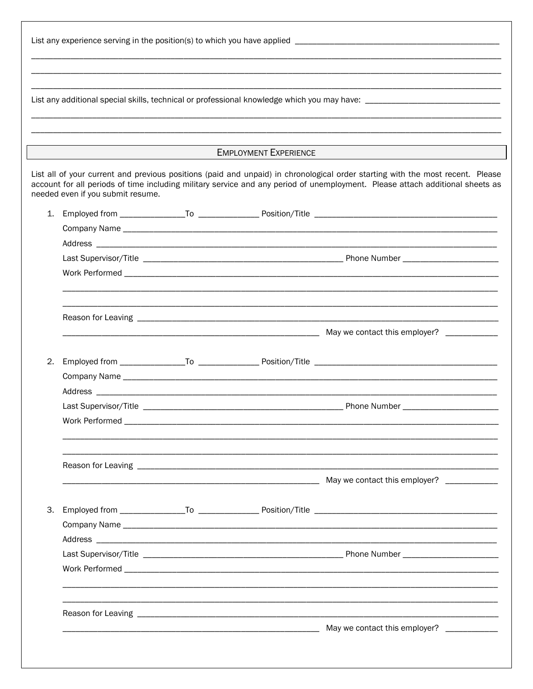|    |                                   | <b>EMPLOYMENT EXPERIENCE</b>                                                                                                                                                                                                                                    |
|----|-----------------------------------|-----------------------------------------------------------------------------------------------------------------------------------------------------------------------------------------------------------------------------------------------------------------|
|    | needed even if you submit resume. | List all of your current and previous positions (paid and unpaid) in chronological order starting with the most recent. Please<br>account for all periods of time including military service and any period of unemployment. Please attach additional sheets as |
|    |                                   |                                                                                                                                                                                                                                                                 |
|    |                                   |                                                                                                                                                                                                                                                                 |
|    |                                   |                                                                                                                                                                                                                                                                 |
|    |                                   |                                                                                                                                                                                                                                                                 |
|    |                                   |                                                                                                                                                                                                                                                                 |
|    |                                   |                                                                                                                                                                                                                                                                 |
|    |                                   |                                                                                                                                                                                                                                                                 |
|    |                                   |                                                                                                                                                                                                                                                                 |
| 2. |                                   |                                                                                                                                                                                                                                                                 |
|    |                                   |                                                                                                                                                                                                                                                                 |
|    |                                   |                                                                                                                                                                                                                                                                 |
|    | Last Supervisor/Title             | Phone Number _                                                                                                                                                                                                                                                  |
|    |                                   |                                                                                                                                                                                                                                                                 |
|    |                                   |                                                                                                                                                                                                                                                                 |
|    |                                   |                                                                                                                                                                                                                                                                 |
| 3. |                                   |                                                                                                                                                                                                                                                                 |
|    |                                   |                                                                                                                                                                                                                                                                 |
|    |                                   |                                                                                                                                                                                                                                                                 |
|    |                                   |                                                                                                                                                                                                                                                                 |
|    |                                   |                                                                                                                                                                                                                                                                 |
|    |                                   |                                                                                                                                                                                                                                                                 |
|    |                                   |                                                                                                                                                                                                                                                                 |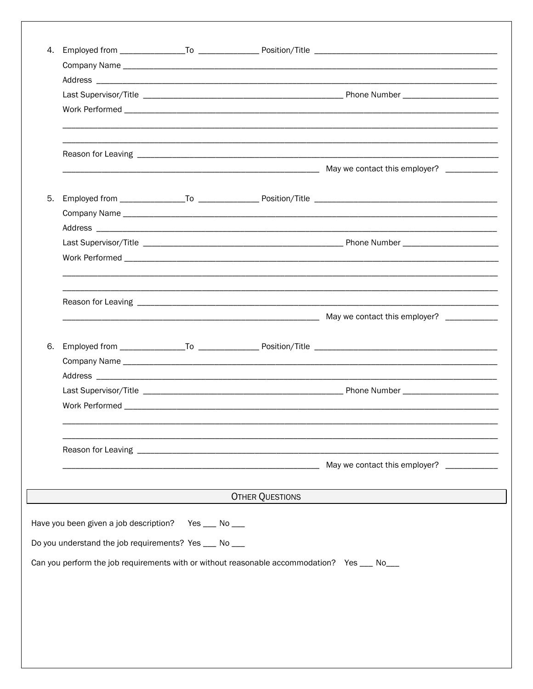| 5. |                                                                                              |                        |                                           |
|----|----------------------------------------------------------------------------------------------|------------------------|-------------------------------------------|
|    |                                                                                              |                        |                                           |
|    |                                                                                              |                        |                                           |
|    |                                                                                              |                        |                                           |
|    |                                                                                              |                        |                                           |
|    |                                                                                              |                        |                                           |
|    |                                                                                              |                        |                                           |
|    |                                                                                              |                        |                                           |
|    |                                                                                              |                        |                                           |
|    |                                                                                              |                        |                                           |
|    |                                                                                              |                        |                                           |
|    |                                                                                              |                        |                                           |
|    |                                                                                              |                        |                                           |
|    |                                                                                              |                        |                                           |
|    |                                                                                              |                        | May we contact this employer? ___________ |
|    |                                                                                              | <b>OTHER QUESTIONS</b> |                                           |
|    | Have you been given a job description? Yes __ No __                                          |                        |                                           |
|    | Do you understand the job requirements? Yes __ No __                                         |                        |                                           |
|    |                                                                                              |                        |                                           |
|    | Can you perform the job requirements with or without reasonable accommodation? Yes ___ No___ |                        |                                           |
|    |                                                                                              |                        |                                           |
|    |                                                                                              |                        |                                           |
|    |                                                                                              |                        |                                           |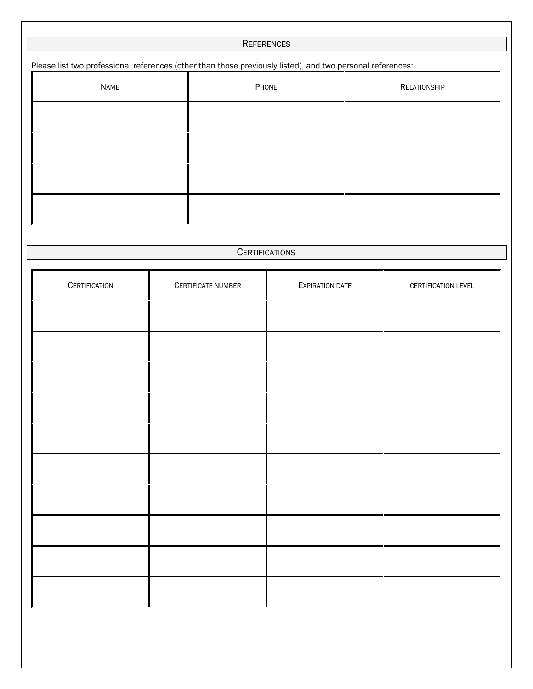## **REFERENCES**

Please list two professional references (other than those previously listed), and two personal references:

| NAME | PHONE | RELATIONSHIP |
|------|-------|--------------|
|      |       |              |
|      |       |              |
|      |       |              |
|      |       |              |

## **CERTIFICATIONS**

| <b>CERTIFICATION</b> | CERTIFICATE NUMBER | <b>EXPIRATION DATE</b> | CERTIFICATION LEVEL |
|----------------------|--------------------|------------------------|---------------------|
|                      |                    |                        |                     |
|                      |                    |                        |                     |
|                      |                    |                        |                     |
|                      |                    |                        |                     |
|                      |                    |                        |                     |
|                      |                    |                        |                     |
|                      |                    |                        |                     |
|                      |                    |                        |                     |
|                      |                    |                        |                     |
|                      |                    |                        |                     |